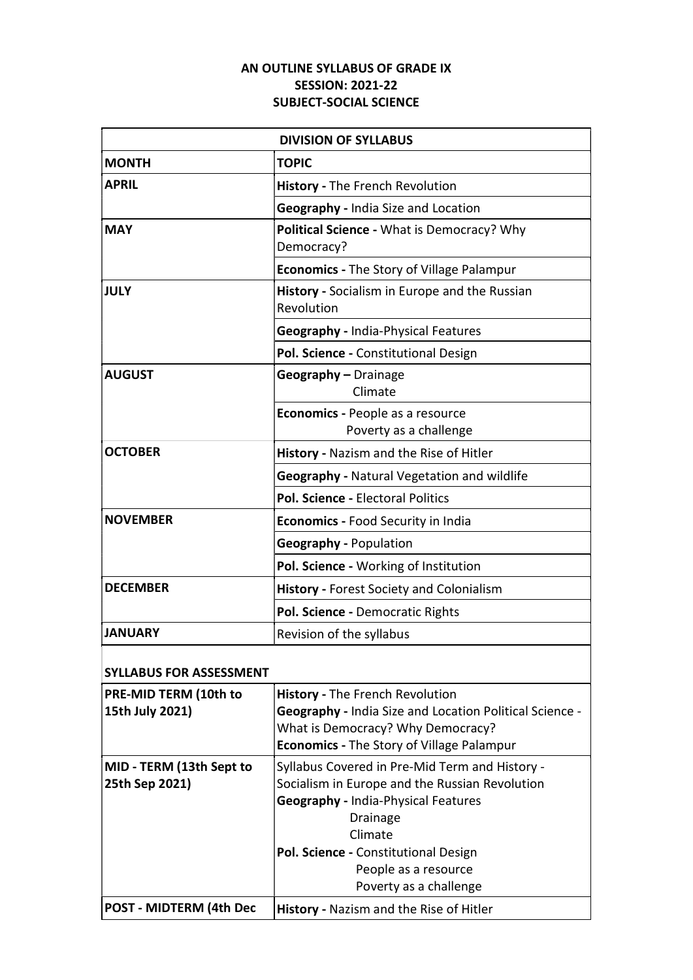## AN OUTLINE SYLLABUS OF GRADE IX SESSION: 2021-22 SUBJECT-SOCIAL SCIENCE

| <b>DIVISION OF SYLLABUS</b> |                                                             |  |
|-----------------------------|-------------------------------------------------------------|--|
| <b>MONTH</b>                | <b>TOPIC</b>                                                |  |
| <b>APRIL</b>                | History - The French Revolution                             |  |
|                             | <b>Geography - India Size and Location</b>                  |  |
| <b>MAY</b>                  | Political Science - What is Democracy? Why<br>Democracy?    |  |
|                             | <b>Economics - The Story of Village Palampur</b>            |  |
| <b>JULY</b>                 | History - Socialism in Europe and the Russian<br>Revolution |  |
|                             | <b>Geography - India-Physical Features</b>                  |  |
|                             | Pol. Science - Constitutional Design                        |  |
| <b>AUGUST</b>               | Geography - Drainage<br>Climate                             |  |
|                             | Economics - People as a resource<br>Poverty as a challenge  |  |
| <b>OCTOBER</b>              | History - Nazism and the Rise of Hitler                     |  |
|                             | <b>Geography - Natural Vegetation and wildlife</b>          |  |
|                             | Pol. Science - Electoral Politics                           |  |
| <b>NOVEMBER</b>             | Economics - Food Security in India                          |  |
|                             | <b>Geography - Population</b>                               |  |
|                             | Pol. Science - Working of Institution                       |  |
| <b>DECEMBER</b>             | <b>History - Forest Society and Colonialism</b>             |  |
|                             | Pol. Science - Democratic Rights                            |  |
| <b>JANUARY</b>              | Revision of the syllabus                                    |  |

| <b>SYLLABUS FOR ASSESSMENT</b> |                                                                |
|--------------------------------|----------------------------------------------------------------|
| PRE-MID TERM (10th to          | <b>History - The French Revolution</b>                         |
| 15th July 2021)                | <b>Geography - India Size and Location Political Science -</b> |
|                                | What is Democracy? Why Democracy?                              |
|                                | <b>Economics</b> - The Story of Village Palampur               |
| MID - TERM (13th Sept to       | Syllabus Covered in Pre-Mid Term and History -                 |
| 25th Sep 2021)                 | Socialism in Europe and the Russian Revolution                 |
|                                | <b>Geography - India-Physical Features</b>                     |
|                                | <b>Drainage</b>                                                |
|                                | Climate                                                        |
|                                | Pol. Science - Constitutional Design                           |
|                                | People as a resource                                           |
|                                | Poverty as a challenge                                         |
| <b>POST - MIDTERM (4th Dec</b> | <b>History</b> - Nazism and the Rise of Hitler                 |